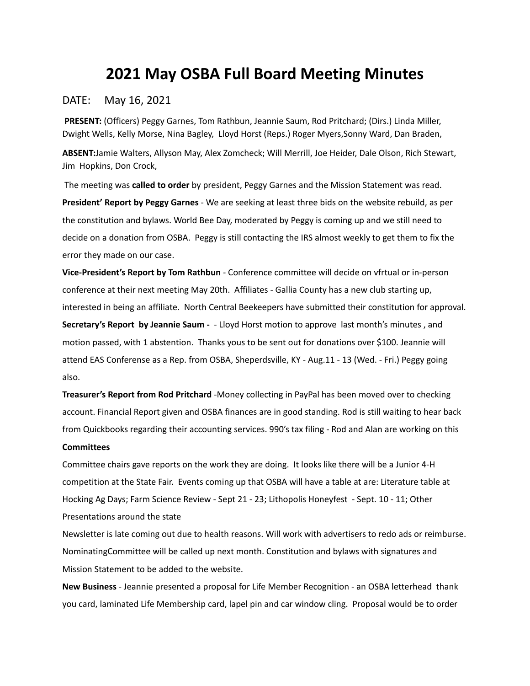## **2021 May OSBA Full Board Meeting Minutes**

## DATE: May 16, 2021

**PRESENT:** (Officers) Peggy Garnes, Tom Rathbun, Jeannie Saum, Rod Pritchard; (Dirs.) Linda Miller, Dwight Wells, Kelly Morse, Nina Bagley, Lloyd Horst (Reps.) Roger Myers,Sonny Ward, Dan Braden,

**ABSENT:**Jamie Walters, Allyson May, Alex Zomcheck; Will Merrill, Joe Heider, Dale Olson, Rich Stewart, Jim Hopkins, Don Crock,

The meeting was **called to order** by president, Peggy Garnes and the Mission Statement was read. **President' Report by Peggy Garnes** - We are seeking at least three bids on the website rebuild, as per the constitution and bylaws. World Bee Day, moderated by Peggy is coming up and we still need to decide on a donation from OSBA. Peggy is still contacting the IRS almost weekly to get them to fix the error they made on our case.

**Vice-President's Report by Tom Rathbun** - Conference committee will decide on vfrtual or in-person conference at their next meeting May 20th. Affiliates - Gallia County has a new club starting up, interested in being an affiliate. North Central Beekeepers have submitted their constitution for approval.

**Secretary's Report by Jeannie Saum -** - Lloyd Horst motion to approve last month's minutes , and motion passed, with 1 abstention. Thanks yous to be sent out for donations over \$100. Jeannie will attend EAS Conferense as a Rep. from OSBA, Sheperdsville, KY - Aug.11 - 13 (Wed. - Fri.) Peggy going also.

**Treasurer's Report from Rod Pritchard** -Money collecting in PayPal has been moved over to checking account. Financial Report given and OSBA finances are in good standing. Rod is still waiting to hear back from Quickbooks regarding their accounting services. 990's tax filing - Rod and Alan are working on this

## **Committees**

Committee chairs gave reports on the work they are doing. It looks like there will be a Junior 4-H competition at the State Fair. Events coming up that OSBA will have a table at are: Literature table at Hocking Ag Days; Farm Science Review - Sept 21 - 23; Lithopolis Honeyfest - Sept. 10 - 11; Other Presentations around the state

Newsletter is late coming out due to health reasons. Will work with advertisers to redo ads or reimburse. NominatingCommittee will be called up next month. Constitution and bylaws with signatures and Mission Statement to be added to the website.

**New Business** - Jeannie presented a proposal for Life Member Recognition - an OSBA letterhead thank you card, laminated Life Membership card, lapel pin and car window cling. Proposal would be to order